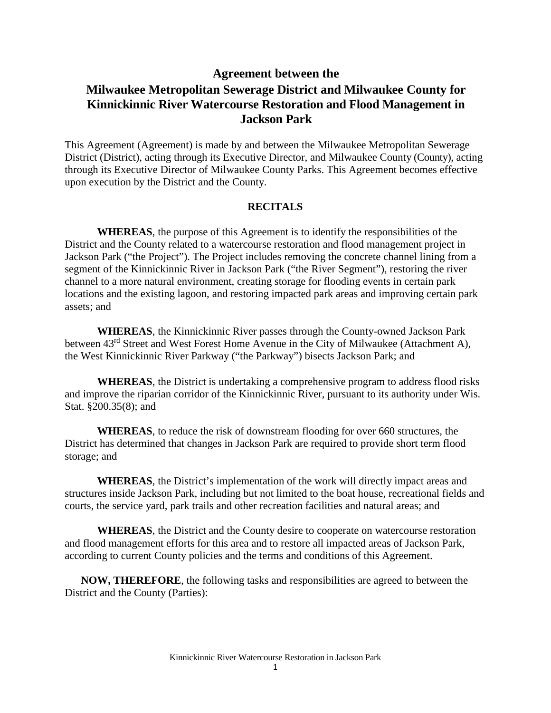# **Agreement between the Milwaukee Metropolitan Sewerage District and Milwaukee County for Kinnickinnic River Watercourse Restoration and Flood Management in Jackson Park**

This Agreement (Agreement) is made by and between the Milwaukee Metropolitan Sewerage District (District), acting through its Executive Director, and Milwaukee County (County), acting through its Executive Director of Milwaukee County Parks. This Agreement becomes effective upon execution by the District and the County.

#### **RECITALS**

**WHEREAS**, the purpose of this Agreement is to identify the responsibilities of the District and the County related to a watercourse restoration and flood management project in Jackson Park ("the Project"). The Project includes removing the concrete channel lining from a segment of the Kinnickinnic River in Jackson Park ("the River Segment"), restoring the river channel to a more natural environment, creating storage for flooding events in certain park locations and the existing lagoon, and restoring impacted park areas and improving certain park assets; and

**WHEREAS**, the Kinnickinnic River passes through the County-owned Jackson Park between 43<sup>rd</sup> Street and West Forest Home Avenue in the City of Milwaukee (Attachment A), the West Kinnickinnic River Parkway ("the Parkway") bisects Jackson Park; and

**WHEREAS**, the District is undertaking a comprehensive program to address flood risks and improve the riparian corridor of the Kinnickinnic River, pursuant to its authority under Wis. Stat. §200.35(8); and

**WHEREAS**, to reduce the risk of downstream flooding for over 660 structures, the District has determined that changes in Jackson Park are required to provide short term flood storage; and

**WHEREAS**, the District's implementation of the work will directly impact areas and structures inside Jackson Park, including but not limited to the boat house, recreational fields and courts, the service yard, park trails and other recreation facilities and natural areas; and

**WHEREAS**, the District and the County desire to cooperate on watercourse restoration and flood management efforts for this area and to restore all impacted areas of Jackson Park, according to current County policies and the terms and conditions of this Agreement.

**NOW, THEREFORE**, the following tasks and responsibilities are agreed to between the District and the County (Parties):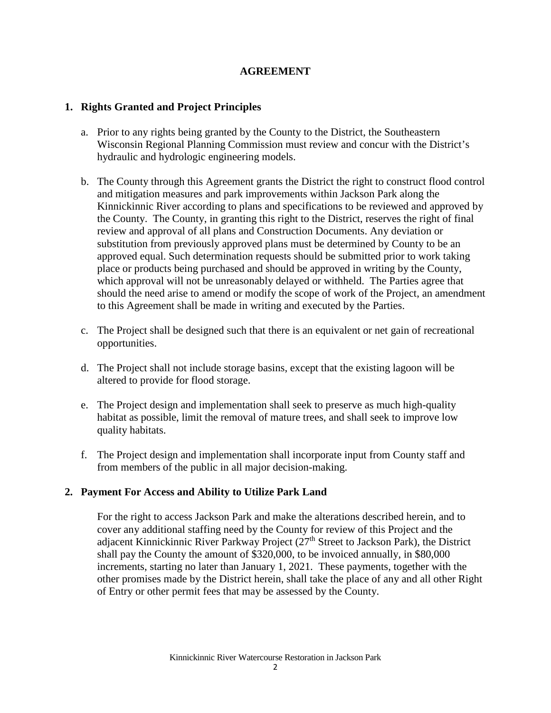#### **AGREEMENT**

#### **1. Rights Granted and Project Principles**

- a. Prior to any rights being granted by the County to the District, the Southeastern Wisconsin Regional Planning Commission must review and concur with the District's hydraulic and hydrologic engineering models.
- b. The County through this Agreement grants the District the right to construct flood control and mitigation measures and park improvements within Jackson Park along the Kinnickinnic River according to plans and specifications to be reviewed and approved by the County. The County, in granting this right to the District, reserves the right of final review and approval of all plans and Construction Documents. Any deviation or substitution from previously approved plans must be determined by County to be an approved equal. Such determination requests should be submitted prior to work taking place or products being purchased and should be approved in writing by the County, which approval will not be unreasonably delayed or withheld. The Parties agree that should the need arise to amend or modify the scope of work of the Project, an amendment to this Agreement shall be made in writing and executed by the Parties.
- c. The Project shall be designed such that there is an equivalent or net gain of recreational opportunities.
- d. The Project shall not include storage basins, except that the existing lagoon will be altered to provide for flood storage.
- e. The Project design and implementation shall seek to preserve as much high-quality habitat as possible, limit the removal of mature trees, and shall seek to improve low quality habitats.
- f. The Project design and implementation shall incorporate input from County staff and from members of the public in all major decision-making.

### **2. Payment For Access and Ability to Utilize Park Land**

For the right to access Jackson Park and make the alterations described herein, and to cover any additional staffing need by the County for review of this Project and the adjacent Kinnickinnic River Parkway Project (27th Street to Jackson Park), the District shall pay the County the amount of \$320,000, to be invoiced annually, in \$80,000 increments, starting no later than January 1, 2021. These payments, together with the other promises made by the District herein, shall take the place of any and all other Right of Entry or other permit fees that may be assessed by the County.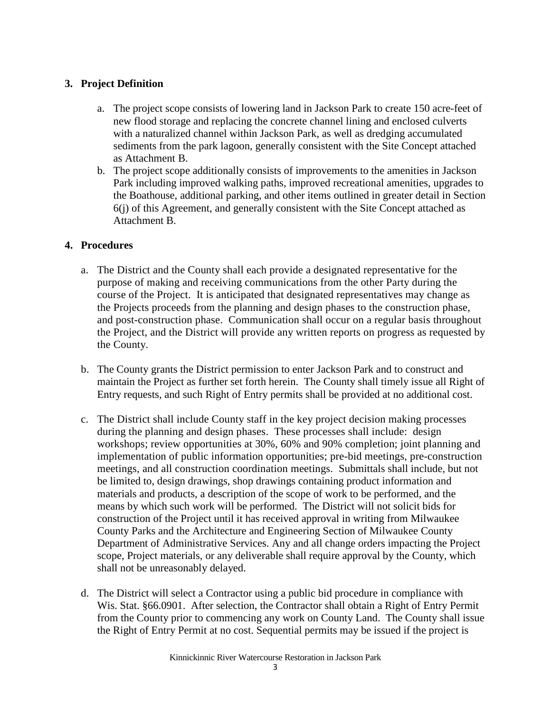### **3. Project Definition**

- a. The project scope consists of lowering land in Jackson Park to create 150 acre-feet of new flood storage and replacing the concrete channel lining and enclosed culverts with a naturalized channel within Jackson Park, as well as dredging accumulated sediments from the park lagoon, generally consistent with the Site Concept attached as Attachment B.
- b. The project scope additionally consists of improvements to the amenities in Jackson Park including improved walking paths, improved recreational amenities, upgrades to the Boathouse, additional parking, and other items outlined in greater detail in Section 6(j) of this Agreement, and generally consistent with the Site Concept attached as Attachment B.

### **4. Procedures**

- a. The District and the County shall each provide a designated representative for the purpose of making and receiving communications from the other Party during the course of the Project. It is anticipated that designated representatives may change as the Projects proceeds from the planning and design phases to the construction phase, and post-construction phase. Communication shall occur on a regular basis throughout the Project, and the District will provide any written reports on progress as requested by the County.
- b. The County grants the District permission to enter Jackson Park and to construct and maintain the Project as further set forth herein. The County shall timely issue all Right of Entry requests, and such Right of Entry permits shall be provided at no additional cost.
- c. The District shall include County staff in the key project decision making processes during the planning and design phases. These processes shall include: design workshops; review opportunities at 30%, 60% and 90% completion; joint planning and implementation of public information opportunities; pre-bid meetings, pre-construction meetings, and all construction coordination meetings. Submittals shall include, but not be limited to, design drawings, shop drawings containing product information and materials and products, a description of the scope of work to be performed, and the means by which such work will be performed. The District will not solicit bids for construction of the Project until it has received approval in writing from Milwaukee County Parks and the Architecture and Engineering Section of Milwaukee County Department of Administrative Services. Any and all change orders impacting the Project scope, Project materials, or any deliverable shall require approval by the County, which shall not be unreasonably delayed.
- d. The District will select a Contractor using a public bid procedure in compliance with Wis. Stat. §66.0901. After selection, the Contractor shall obtain a Right of Entry Permit from the County prior to commencing any work on County Land. The County shall issue the Right of Entry Permit at no cost. Sequential permits may be issued if the project is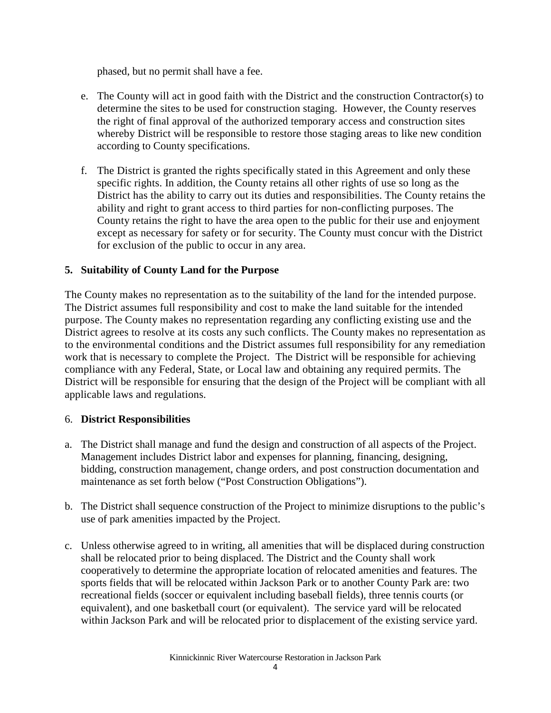phased, but no permit shall have a fee.

- e. The County will act in good faith with the District and the construction Contractor(s) to determine the sites to be used for construction staging. However, the County reserves the right of final approval of the authorized temporary access and construction sites whereby District will be responsible to restore those staging areas to like new condition according to County specifications.
- f. The District is granted the rights specifically stated in this Agreement and only these specific rights. In addition, the County retains all other rights of use so long as the District has the ability to carry out its duties and responsibilities. The County retains the ability and right to grant access to third parties for non-conflicting purposes. The County retains the right to have the area open to the public for their use and enjoyment except as necessary for safety or for security. The County must concur with the District for exclusion of the public to occur in any area.

## **5. Suitability of County Land for the Purpose**

The County makes no representation as to the suitability of the land for the intended purpose. The District assumes full responsibility and cost to make the land suitable for the intended purpose. The County makes no representation regarding any conflicting existing use and the District agrees to resolve at its costs any such conflicts. The County makes no representation as to the environmental conditions and the District assumes full responsibility for any remediation work that is necessary to complete the Project. The District will be responsible for achieving compliance with any Federal, State, or Local law and obtaining any required permits. The District will be responsible for ensuring that the design of the Project will be compliant with all applicable laws and regulations.

### 6. **District Responsibilities**

- a. The District shall manage and fund the design and construction of all aspects of the Project. Management includes District labor and expenses for planning, financing, designing, bidding, construction management, change orders, and post construction documentation and maintenance as set forth below ("Post Construction Obligations").
- b. The District shall sequence construction of the Project to minimize disruptions to the public's use of park amenities impacted by the Project.
- c. Unless otherwise agreed to in writing, all amenities that will be displaced during construction shall be relocated prior to being displaced. The District and the County shall work cooperatively to determine the appropriate location of relocated amenities and features. The sports fields that will be relocated within Jackson Park or to another County Park are: two recreational fields (soccer or equivalent including baseball fields), three tennis courts (or equivalent), and one basketball court (or equivalent). The service yard will be relocated within Jackson Park and will be relocated prior to displacement of the existing service yard.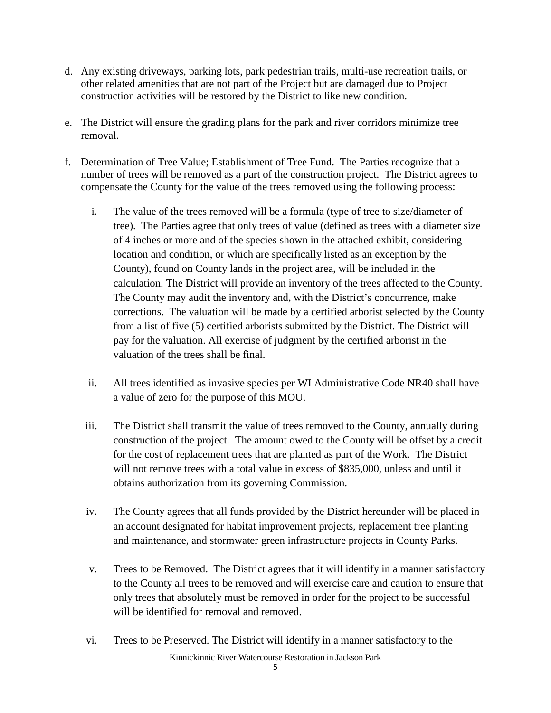- d. Any existing driveways, parking lots, park pedestrian trails, multi-use recreation trails, or other related amenities that are not part of the Project but are damaged due to Project construction activities will be restored by the District to like new condition.
- e. The District will ensure the grading plans for the park and river corridors minimize tree removal.
- f. Determination of Tree Value; Establishment of Tree Fund. The Parties recognize that a number of trees will be removed as a part of the construction project. The District agrees to compensate the County for the value of the trees removed using the following process:
	- i. The value of the trees removed will be a formula (type of tree to size/diameter of tree). The Parties agree that only trees of value (defined as trees with a diameter size of 4 inches or more and of the species shown in the attached exhibit, considering location and condition, or which are specifically listed as an exception by the County), found on County lands in the project area, will be included in the calculation. The District will provide an inventory of the trees affected to the County. The County may audit the inventory and, with the District's concurrence, make corrections. The valuation will be made by a certified arborist selected by the County from a list of five (5) certified arborists submitted by the District. The District will pay for the valuation. All exercise of judgment by the certified arborist in the valuation of the trees shall be final.
	- ii. All trees identified as invasive species per WI Administrative Code NR40 shall have a value of zero for the purpose of this MOU.
	- iii. The District shall transmit the value of trees removed to the County, annually during construction of the project. The amount owed to the County will be offset by a credit for the cost of replacement trees that are planted as part of the Work. The District will not remove trees with a total value in excess of \$835,000, unless and until it obtains authorization from its governing Commission.
	- iv. The County agrees that all funds provided by the District hereunder will be placed in an account designated for habitat improvement projects, replacement tree planting and maintenance, and stormwater green infrastructure projects in County Parks.
	- v. Trees to be Removed. The District agrees that it will identify in a manner satisfactory to the County all trees to be removed and will exercise care and caution to ensure that only trees that absolutely must be removed in order for the project to be successful will be identified for removal and removed.
	- Kinnickinnic River Watercourse Restoration in Jackson Park vi. Trees to be Preserved. The District will identify in a manner satisfactory to the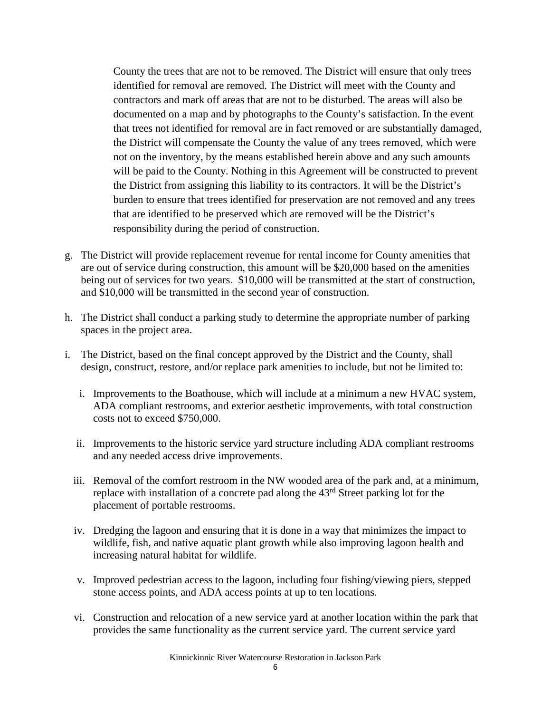County the trees that are not to be removed. The District will ensure that only trees identified for removal are removed. The District will meet with the County and contractors and mark off areas that are not to be disturbed. The areas will also be documented on a map and by photographs to the County's satisfaction. In the event that trees not identified for removal are in fact removed or are substantially damaged, the District will compensate the County the value of any trees removed, which were not on the inventory, by the means established herein above and any such amounts will be paid to the County. Nothing in this Agreement will be constructed to prevent the District from assigning this liability to its contractors. It will be the District's burden to ensure that trees identified for preservation are not removed and any trees that are identified to be preserved which are removed will be the District's responsibility during the period of construction.

- g. The District will provide replacement revenue for rental income for County amenities that are out of service during construction, this amount will be \$20,000 based on the amenities being out of services for two years. \$10,000 will be transmitted at the start of construction, and \$10,000 will be transmitted in the second year of construction.
- h. The District shall conduct a parking study to determine the appropriate number of parking spaces in the project area.
- i. The District, based on the final concept approved by the District and the County, shall design, construct, restore, and/or replace park amenities to include, but not be limited to:
	- i. Improvements to the Boathouse, which will include at a minimum a new HVAC system, ADA compliant restrooms, and exterior aesthetic improvements, with total construction costs not to exceed \$750,000.
	- ii. Improvements to the historic service yard structure including ADA compliant restrooms and any needed access drive improvements.
	- iii. Removal of the comfort restroom in the NW wooded area of the park and, at a minimum, replace with installation of a concrete pad along the 43rd Street parking lot for the placement of portable restrooms.
	- iv. Dredging the lagoon and ensuring that it is done in a way that minimizes the impact to wildlife, fish, and native aquatic plant growth while also improving lagoon health and increasing natural habitat for wildlife.
	- v. Improved pedestrian access to the lagoon, including four fishing/viewing piers, stepped stone access points, and ADA access points at up to ten locations.
	- vi. Construction and relocation of a new service yard at another location within the park that provides the same functionality as the current service yard. The current service yard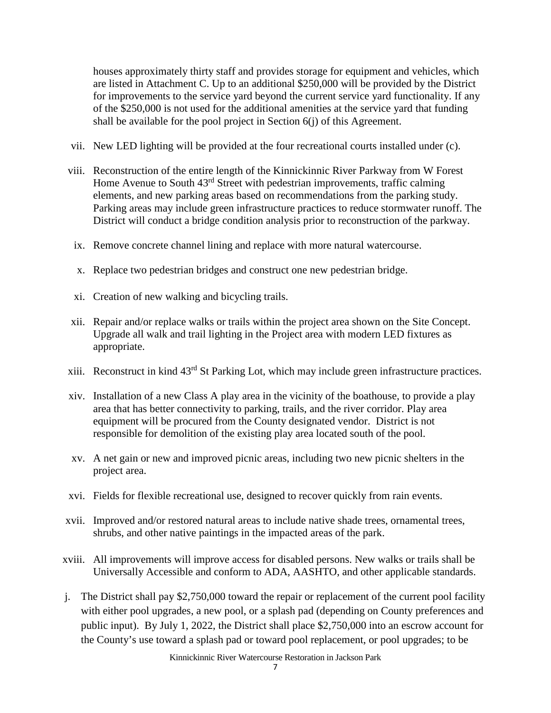houses approximately thirty staff and provides storage for equipment and vehicles, which are listed in Attachment C. Up to an additional \$250,000 will be provided by the District for improvements to the service yard beyond the current service yard functionality. If any of the \$250,000 is not used for the additional amenities at the service yard that funding shall be available for the pool project in Section 6(j) of this Agreement.

- vii. New LED lighting will be provided at the four recreational courts installed under (c).
- viii. Reconstruction of the entire length of the Kinnickinnic River Parkway from W Forest Home Avenue to South 43<sup>rd</sup> Street with pedestrian improvements, traffic calming elements, and new parking areas based on recommendations from the parking study. Parking areas may include green infrastructure practices to reduce stormwater runoff. The District will conduct a bridge condition analysis prior to reconstruction of the parkway.
	- ix. Remove concrete channel lining and replace with more natural watercourse.
	- x. Replace two pedestrian bridges and construct one new pedestrian bridge.
	- xi. Creation of new walking and bicycling trails.
- xii. Repair and/or replace walks or trails within the project area shown on the Site Concept. Upgrade all walk and trail lighting in the Project area with modern LED fixtures as appropriate.
- xiii. Reconstruct in kind 43rd St Parking Lot, which may include green infrastructure practices.
- xiv. Installation of a new Class A play area in the vicinity of the boathouse, to provide a play area that has better connectivity to parking, trails, and the river corridor. Play area equipment will be procured from the County designated vendor. District is not responsible for demolition of the existing play area located south of the pool.
- xv. A net gain or new and improved picnic areas, including two new picnic shelters in the project area.
- xvi. Fields for flexible recreational use, designed to recover quickly from rain events.
- xvii. Improved and/or restored natural areas to include native shade trees, ornamental trees, shrubs, and other native paintings in the impacted areas of the park.
- xviii. All improvements will improve access for disabled persons. New walks or trails shall be Universally Accessible and conform to ADA, AASHTO, and other applicable standards.
- j. The District shall pay \$2,750,000 toward the repair or replacement of the current pool facility with either pool upgrades, a new pool, or a splash pad (depending on County preferences and public input). By July 1, 2022, the District shall place \$2,750,000 into an escrow account for the County's use toward a splash pad or toward pool replacement, or pool upgrades; to be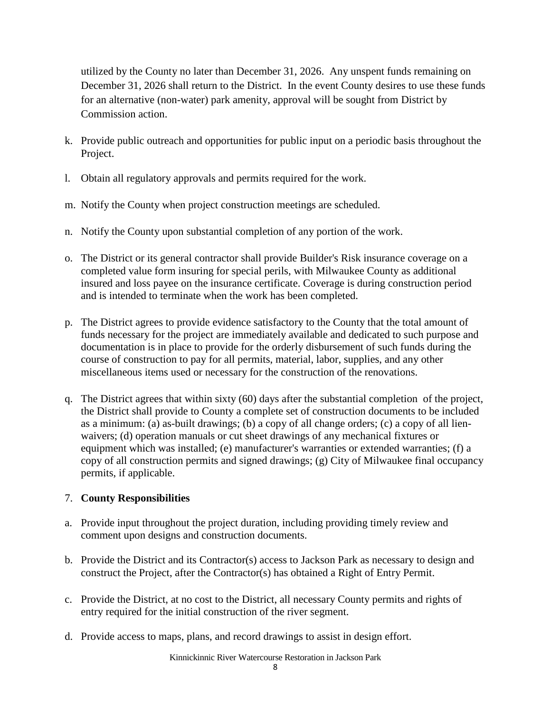utilized by the County no later than December 31, 2026. Any unspent funds remaining on December 31, 2026 shall return to the District. In the event County desires to use these funds for an alternative (non-water) park amenity, approval will be sought from District by Commission action.

- k. Provide public outreach and opportunities for public input on a periodic basis throughout the Project.
- l. Obtain all regulatory approvals and permits required for the work.
- m. Notify the County when project construction meetings are scheduled.
- n. Notify the County upon substantial completion of any portion of the work.
- o. The District or its general contractor shall provide Builder's Risk insurance coverage on a completed value form insuring for special perils, with Milwaukee County as additional insured and loss payee on the insurance certificate. Coverage is during construction period and is intended to terminate when the work has been completed.
- p. The District agrees to provide evidence satisfactory to the County that the total amount of funds necessary for the project are immediately available and dedicated to such purpose and documentation is in place to provide for the orderly disbursement of such funds during the course of construction to pay for all permits, material, labor, supplies, and any other miscellaneous items used or necessary for the construction of the renovations.
- q. The District agrees that within sixty (60) days after the substantial completion of the project, the District shall provide to County a complete set of construction documents to be included as a minimum: (a) as-built drawings; (b) a copy of all change orders; (c) a copy of all lienwaivers; (d) operation manuals or cut sheet drawings of any mechanical fixtures or equipment which was installed; (e) manufacturer's warranties or extended warranties; (f) a copy of all construction permits and signed drawings; (g) City of Milwaukee final occupancy permits, if applicable.

### 7. **County Responsibilities**

- a. Provide input throughout the project duration, including providing timely review and comment upon designs and construction documents.
- b. Provide the District and its Contractor(s) access to Jackson Park as necessary to design and construct the Project, after the Contractor(s) has obtained a Right of Entry Permit.
- c. Provide the District, at no cost to the District, all necessary County permits and rights of entry required for the initial construction of the river segment.
- d. Provide access to maps, plans, and record drawings to assist in design effort.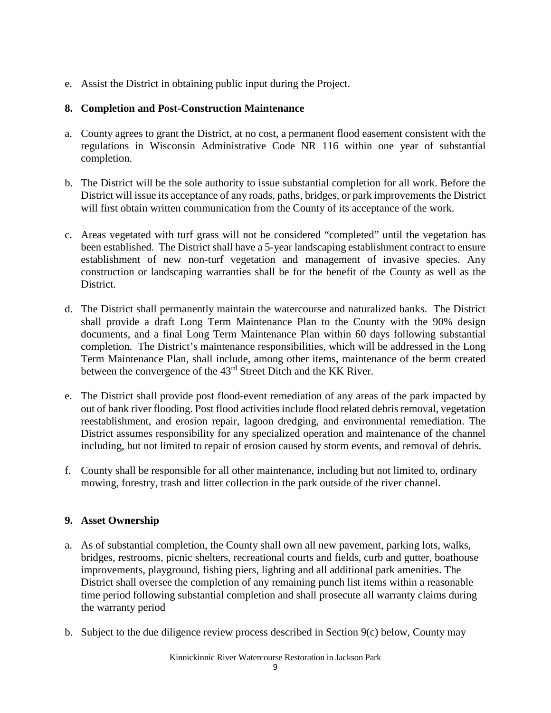e. Assist the District in obtaining public input during the Project.

# **8. Completion and Post-Construction Maintenance**

- a. County agrees to grant the District, at no cost, a permanent flood easement consistent with the regulations in Wisconsin Administrative Code NR 116 within one year of substantial completion.
- b. The District will be the sole authority to issue substantial completion for all work. Before the District will issue its acceptance of any roads, paths, bridges, or park improvements the District will first obtain written communication from the County of its acceptance of the work.
- c. Areas vegetated with turf grass will not be considered "completed" until the vegetation has been established. The District shall have a 5-year landscaping establishment contract to ensure establishment of new non-turf vegetation and management of invasive species. Any construction or landscaping warranties shall be for the benefit of the County as well as the District.
- d. The District shall permanently maintain the watercourse and naturalized banks. The District shall provide a draft Long Term Maintenance Plan to the County with the 90% design documents, and a final Long Term Maintenance Plan within 60 days following substantial completion. The District's maintenance responsibilities, which will be addressed in the Long Term Maintenance Plan, shall include, among other items, maintenance of the berm created between the convergence of the 43rd Street Ditch and the KK River.
- e. The District shall provide post flood-event remediation of any areas of the park impacted by out of bank river flooding. Post flood activities include flood related debris removal, vegetation reestablishment, and erosion repair, lagoon dredging, and environmental remediation. The District assumes responsibility for any specialized operation and maintenance of the channel including, but not limited to repair of erosion caused by storm events, and removal of debris.
- f. County shall be responsible for all other maintenance, including but not limited to, ordinary mowing, forestry, trash and litter collection in the park outside of the river channel.

# **9. Asset Ownership**

- a. As of substantial completion, the County shall own all new pavement, parking lots, walks, bridges, restrooms, picnic shelters, recreational courts and fields, curb and gutter, boathouse improvements, playground, fishing piers, lighting and all additional park amenities. The District shall oversee the completion of any remaining punch list items within a reasonable time period following substantial completion and shall prosecute all warranty claims during the warranty period
- b. Subject to the due diligence review process described in Section  $9(c)$  below, County may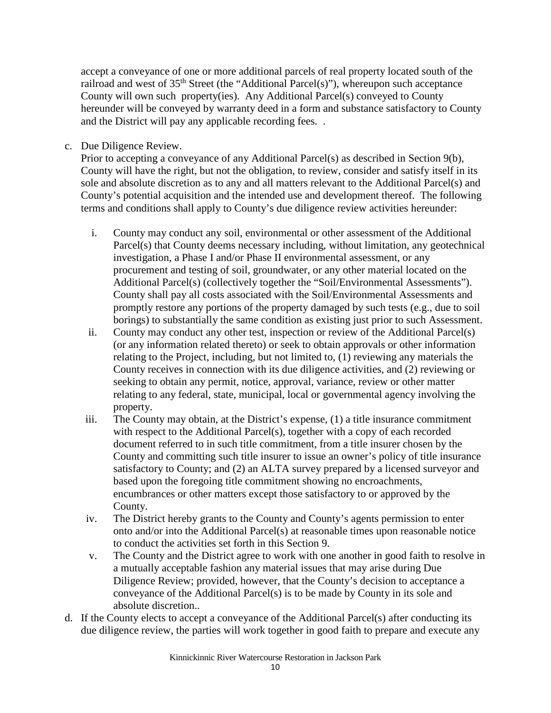accept a conveyance of one or more additional parcels of real property located south of the railroad and west of  $35<sup>th</sup>$  Street (the "Additional Parcel(s)"), whereupon such acceptance County will own such property(ies). Any Additional Parcel(s) conveyed to County hereunder will be conveyed by warranty deed in a form and substance satisfactory to County and the District will pay any applicable recording fees. .

c. Due Diligence Review.

Prior to accepting a conveyance of any Additional Parcel(s) as described in Section 9(b), County will have the right, but not the obligation, to review, consider and satisfy itself in its sole and absolute discretion as to any and all matters relevant to the Additional Parcel(s) and County's potential acquisition and the intended use and development thereof. The following terms and conditions shall apply to County's due diligence review activities hereunder:

- i. County may conduct any soil, environmental or other assessment of the Additional Parcel(s) that County deems necessary including, without limitation, any geotechnical investigation, a Phase I and/or Phase II environmental assessment, or any procurement and testing of soil, groundwater, or any other material located on the Additional Parcel(s) (collectively together the "Soil/Environmental Assessments"). County shall pay all costs associated with the Soil/Environmental Assessments and promptly restore any portions of the property damaged by such tests (e.g., due to soil borings) to substantially the same condition as existing just prior to such Assessment.
- ii. County may conduct any other test, inspection or review of the Additional Parcel(s) (or any information related thereto) or seek to obtain approvals or other information relating to the Project, including, but not limited to, (1) reviewing any materials the County receives in connection with its due diligence activities, and (2) reviewing or seeking to obtain any permit, notice, approval, variance, review or other matter relating to any federal, state, municipal, local or governmental agency involving the property.
- iii. The County may obtain, at the District's expense, (1) a title insurance commitment with respect to the Additional Parcel(s), together with a copy of each recorded document referred to in such title commitment, from a title insurer chosen by the County and committing such title insurer to issue an owner's policy of title insurance satisfactory to County; and (2) an ALTA survey prepared by a licensed surveyor and based upon the foregoing title commitment showing no encroachments, encumbrances or other matters except those satisfactory to or approved by the County.
- iv. The District hereby grants to the County and County's agents permission to enter onto and/or into the Additional Parcel(s) at reasonable times upon reasonable notice to conduct the activities set forth in this Section 9.
- v. The County and the District agree to work with one another in good faith to resolve in a mutually acceptable fashion any material issues that may arise during Due Diligence Review; provided, however, that the County's decision to acceptance a conveyance of the Additional Parcel(s) is to be made by County in its sole and absolute discretion..
- d. If the County elects to accept a conveyance of the Additional Parcel(s) after conducting its due diligence review, the parties will work together in good faith to prepare and execute any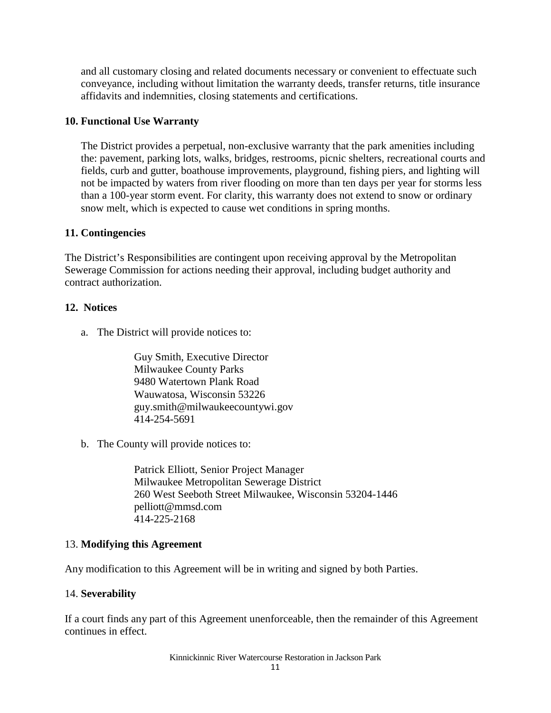and all customary closing and related documents necessary or convenient to effectuate such conveyance, including without limitation the warranty deeds, transfer returns, title insurance affidavits and indemnities, closing statements and certifications.

#### **10. Functional Use Warranty**

The District provides a perpetual, non-exclusive warranty that the park amenities including the: pavement, parking lots, walks, bridges, restrooms, picnic shelters, recreational courts and fields, curb and gutter, boathouse improvements, playground, fishing piers, and lighting will not be impacted by waters from river flooding on more than ten days per year for storms less than a 100-year storm event. For clarity, this warranty does not extend to snow or ordinary snow melt, which is expected to cause wet conditions in spring months.

#### **11. Contingencies**

The District's Responsibilities are contingent upon receiving approval by the Metropolitan Sewerage Commission for actions needing their approval, including budget authority and contract authorization.

#### **12. Notices**

a. The District will provide notices to:

Guy Smith, Executive Director Milwaukee County Parks 9480 Watertown Plank Road Wauwatosa, Wisconsin 53226 guy.smith@milwaukeecountywi.gov 414-254-5691

b. The County will provide notices to:

Patrick Elliott, Senior Project Manager Milwaukee Metropolitan Sewerage District 260 West Seeboth Street Milwaukee, Wisconsin 53204-1446 pelliott@mmsd.com 414-225-2168

#### 13. **Modifying this Agreement**

Any modification to this Agreement will be in writing and signed by both Parties.

### 14. **Severability**

If a court finds any part of this Agreement unenforceable, then the remainder of this Agreement continues in effect.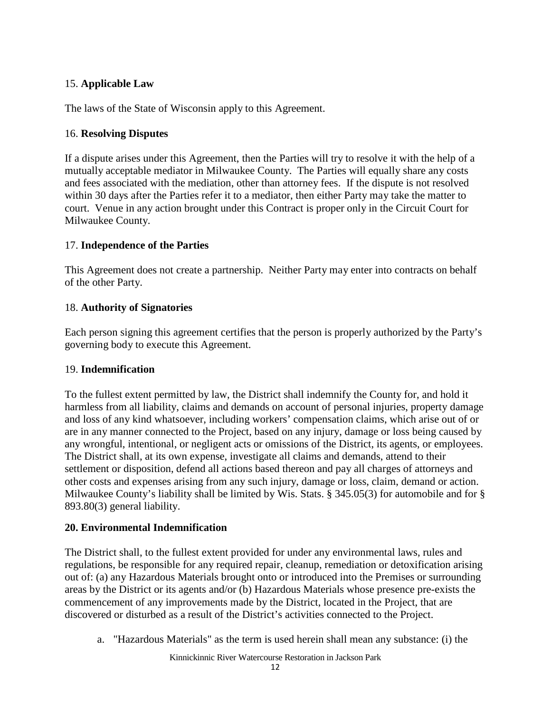# 15. **Applicable Law**

The laws of the State of Wisconsin apply to this Agreement.

### 16. **Resolving Disputes**

If a dispute arises under this Agreement, then the Parties will try to resolve it with the help of a mutually acceptable mediator in Milwaukee County. The Parties will equally share any costs and fees associated with the mediation, other than attorney fees. If the dispute is not resolved within 30 days after the Parties refer it to a mediator, then either Party may take the matter to court. Venue in any action brought under this Contract is proper only in the Circuit Court for Milwaukee County.

## 17. **Independence of the Parties**

This Agreement does not create a partnership. Neither Party may enter into contracts on behalf of the other Party.

## 18. **Authority of Signatories**

Each person signing this agreement certifies that the person is properly authorized by the Party's governing body to execute this Agreement.

### 19. **Indemnification**

To the fullest extent permitted by law, the District shall indemnify the County for, and hold it harmless from all liability, claims and demands on account of personal injuries, property damage and loss of any kind whatsoever, including workers' compensation claims, which arise out of or are in any manner connected to the Project, based on any injury, damage or loss being caused by any wrongful, intentional, or negligent acts or omissions of the District, its agents, or employees. The District shall, at its own expense, investigate all claims and demands, attend to their settlement or disposition, defend all actions based thereon and pay all charges of attorneys and other costs and expenses arising from any such injury, damage or loss, claim, demand or action. Milwaukee County's liability shall be limited by Wis. Stats. § 345.05(3) for automobile and for § 893.80(3) general liability.

### **20. Environmental Indemnification**

The District shall, to the fullest extent provided for under any environmental laws, rules and regulations, be responsible for any required repair, cleanup, remediation or detoxification arising out of: (a) any Hazardous Materials brought onto or introduced into the Premises or surrounding areas by the District or its agents and/or (b) Hazardous Materials whose presence pre-exists the commencement of any improvements made by the District, located in the Project, that are discovered or disturbed as a result of the District's activities connected to the Project.

a. "Hazardous Materials" as the term is used herein shall mean any substance: (i) the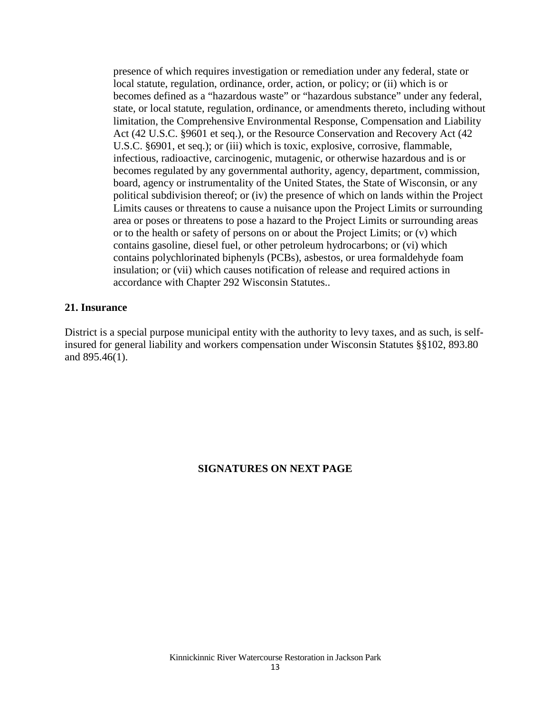presence of which requires investigation or remediation under any federal, state or local statute, regulation, ordinance, order, action, or policy; or (ii) which is or becomes defined as a "hazardous waste" or "hazardous substance" under any federal, state, or local statute, regulation, ordinance, or amendments thereto, including without limitation, the Comprehensive Environmental Response, Compensation and Liability Act (42 U.S.C. §9601 et seq.), or the Resource Conservation and Recovery Act (42 U.S.C. §6901, et seq.); or (iii) which is toxic, explosive, corrosive, flammable, infectious, radioactive, carcinogenic, mutagenic, or otherwise hazardous and is or becomes regulated by any governmental authority, agency, department, commission, board, agency or instrumentality of the United States, the State of Wisconsin, or any political subdivision thereof; or (iv) the presence of which on lands within the Project Limits causes or threatens to cause a nuisance upon the Project Limits or surrounding area or poses or threatens to pose a hazard to the Project Limits or surrounding areas or to the health or safety of persons on or about the Project Limits; or (v) which contains gasoline, diesel fuel, or other petroleum hydrocarbons; or (vi) which contains polychlorinated biphenyls (PCBs), asbestos, or urea formaldehyde foam insulation; or (vii) which causes notification of release and required actions in accordance with Chapter 292 Wisconsin Statutes..

#### **21. Insurance**

District is a special purpose municipal entity with the authority to levy taxes, and as such, is selfinsured for general liability and workers compensation under Wisconsin Statutes §§102, 893.80 and 895.46(1).

#### **SIGNATURES ON NEXT PAGE**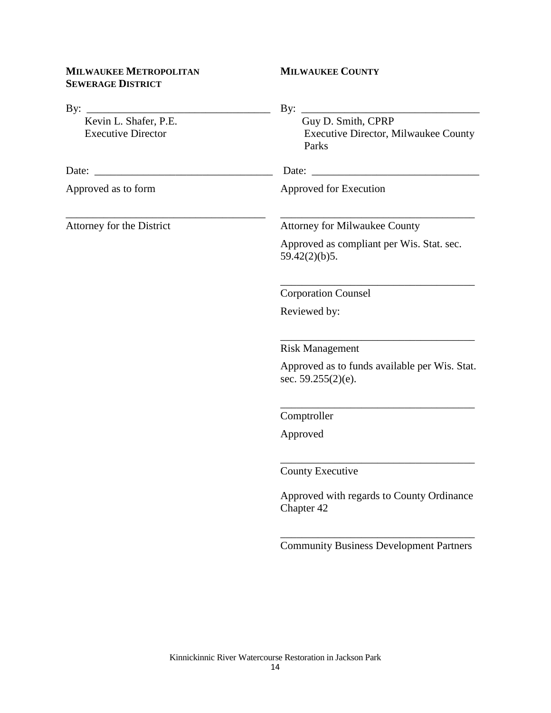## **MILWAUKEE METROPOLITAN SEWERAGE DISTRICT**

# **MILWAUKEE COUNTY**

| By:                                                | By:                                                                        |
|----------------------------------------------------|----------------------------------------------------------------------------|
| Kevin L. Shafer, P.E.<br><b>Executive Director</b> | Guy D. Smith, CPRP<br><b>Executive Director, Milwaukee County</b><br>Parks |
| Date:                                              | Date:                                                                      |
| Approved as to form                                | Approved for Execution                                                     |
| Attorney for the District                          | <b>Attorney for Milwaukee County</b>                                       |
|                                                    | Approved as compliant per Wis. Stat. sec.<br>59.42(2)(b)5.                 |
|                                                    | <b>Corporation Counsel</b>                                                 |
|                                                    | Reviewed by:                                                               |
|                                                    | <b>Risk Management</b>                                                     |
|                                                    | Approved as to funds available per Wis. Stat.<br>sec. $59.255(2)$ (e).     |
|                                                    | Comptroller                                                                |
|                                                    | Approved                                                                   |
|                                                    | County Executive                                                           |
|                                                    | Approved with regards to County Ordinance<br>Chapter 42                    |
|                                                    | <b>Community Business Development Partners</b>                             |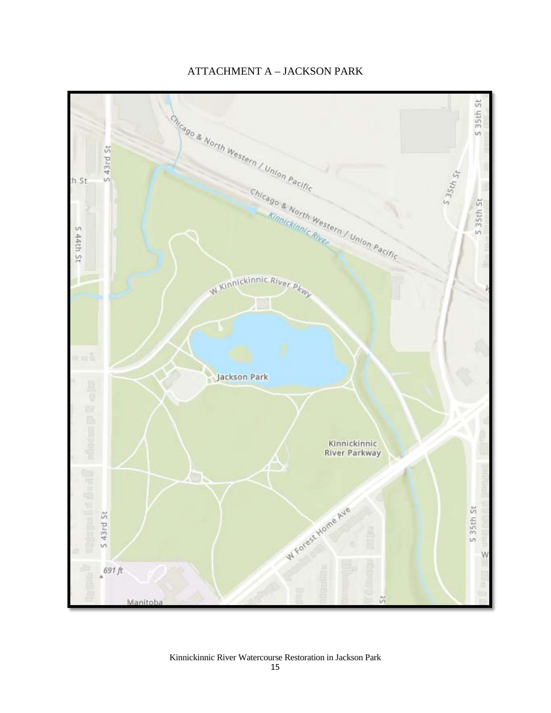

# ATTACHMENT A – JACKSON PARK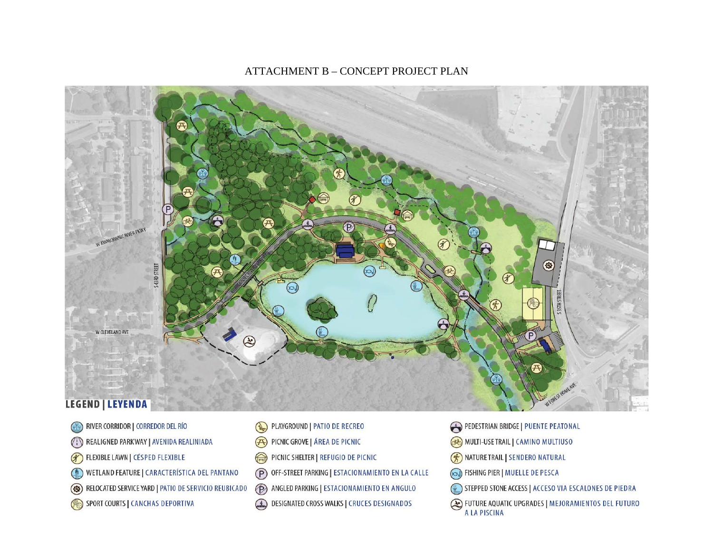- SPORT COURTS | CANCHAS DEPORTIVA
- RELOCATED SERVICE YARD | PATIO DE SERVICIO REUBICADO
- OD WETLAND FEATURE | CARACTERÍSTICA DEL PANTANO
- $\bigcirc$ FLEXIBLE LAWN | CÉSPED FLEXIBLE
- $\mathbb{C}$ REALIGNED PARKWAY | AVENIDA REALINIADA
- RIVER CORRIDOR | CORREDOR DEL RÍO  $\odot$   $\odot$

# **LEGEND | LEYENDA**

- EXTEPPED STONE ACCESS | ACCESO VIA ESCALONES DE PIEDRA<br>Kinang Designated Cross Walks | CRUCES DESIGNADOS | NEUMEL AQUATIC UPGRADES | MEJORAMIENTOS DEL FUTURO DESIGNATED CROSS WALKS | CRUCES DESIGNADOS
	-
- $(P)$ OFF-STREET PARKING | ESTACIONAMIENTO EN LA CALLE
- ⊜ PICNIC SHELTER | REFUGIO DE PICNIC
- $\bigoplus$ PICNIC GROVE | ÁREA DE PICNIC
- PLAYGROUND | PATIO DE RECREO  $\odot$
- PEDESTRIAN BRIDGE | PUENTE PEATONAL
- MULTI-USE TRAIL | CAMINO MULTIUSO

NATURE TRAIL | SENDERO NATURAL

**S** FISHING PIER | MUELLE DE PESCA

A LA PISCINA



#### ATTACHMENT B – CONCEPT PROJECT PLAN